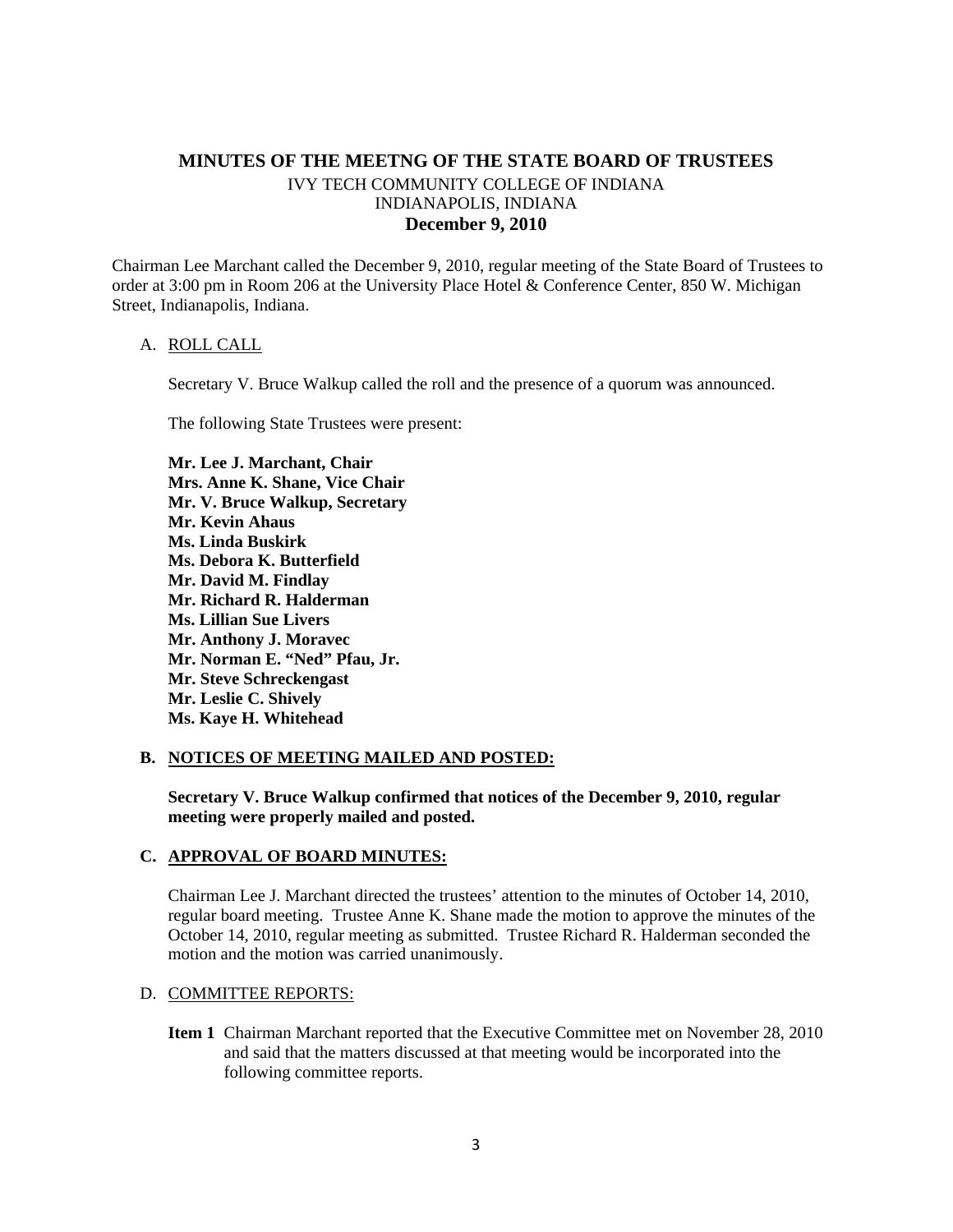# **MINUTES OF THE MEETNG OF THE STATE BOARD OF TRUSTEES**  IVY TECH COMMUNITY COLLEGE OF INDIANA INDIANAPOLIS, INDIANA **December 9, 2010**

Chairman Lee Marchant called the December 9, 2010, regular meeting of the State Board of Trustees to order at 3:00 pm in Room 206 at the University Place Hotel & Conference Center, 850 W. Michigan Street, Indianapolis, Indiana.

#### A. ROLL CALL

Secretary V. Bruce Walkup called the roll and the presence of a quorum was announced.

The following State Trustees were present:

**Mr. Lee J. Marchant, Chair Mrs. Anne K. Shane, Vice Chair Mr. V. Bruce Walkup, Secretary Mr. Kevin Ahaus Ms. Linda Buskirk Ms. Debora K. Butterfield Mr. David M. Findlay Mr. Richard R. Halderman Ms. Lillian Sue Livers Mr. Anthony J. Moravec Mr. Norman E. "Ned" Pfau, Jr. Mr. Steve Schreckengast Mr. Leslie C. Shively Ms. Kaye H. Whitehead** 

#### **B. NOTICES OF MEETING MAILED AND POSTED:**

**Secretary V. Bruce Walkup confirmed that notices of the December 9, 2010, regular meeting were properly mailed and posted.** 

#### **C. APPROVAL OF BOARD MINUTES:**

Chairman Lee J. Marchant directed the trustees' attention to the minutes of October 14, 2010, regular board meeting. Trustee Anne K. Shane made the motion to approve the minutes of the October 14, 2010, regular meeting as submitted. Trustee Richard R. Halderman seconded the motion and the motion was carried unanimously.

#### D. COMMITTEE REPORTS:

**Item 1** Chairman Marchant reported that the Executive Committee met on November 28, 2010 and said that the matters discussed at that meeting would be incorporated into the following committee reports.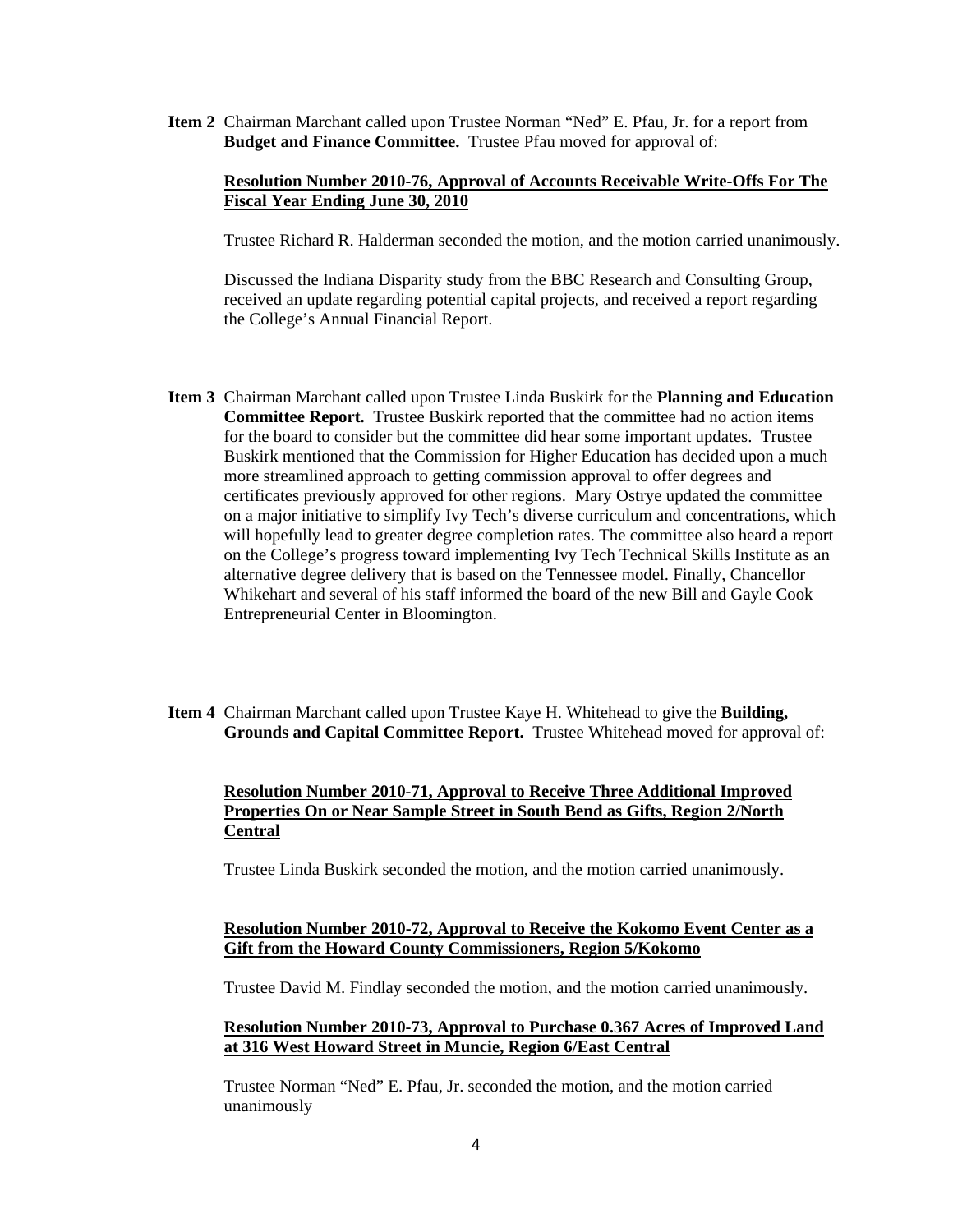**Item 2** Chairman Marchant called upon Trustee Norman "Ned" E. Pfau, Jr. for a report from **Budget and Finance Committee.** Trustee Pfau moved for approval of:

### **Resolution Number 2010-76, Approval of Accounts Receivable Write-Offs For The Fiscal Year Ending June 30, 2010**

Trustee Richard R. Halderman seconded the motion, and the motion carried unanimously.

Discussed the Indiana Disparity study from the BBC Research and Consulting Group, received an update regarding potential capital projects, and received a report regarding the College's Annual Financial Report.

- **Item 3** Chairman Marchant called upon Trustee Linda Buskirk for the **Planning and Education Committee Report.** Trustee Buskirk reported that the committee had no action items for the board to consider but the committee did hear some important updates. Trustee Buskirk mentioned that the Commission for Higher Education has decided upon a much more streamlined approach to getting commission approval to offer degrees and certificates previously approved for other regions. Mary Ostrye updated the committee on a major initiative to simplify Ivy Tech's diverse curriculum and concentrations, which will hopefully lead to greater degree completion rates. The committee also heard a report on the College's progress toward implementing Ivy Tech Technical Skills Institute as an alternative degree delivery that is based on the Tennessee model. Finally, Chancellor Whikehart and several of his staff informed the board of the new Bill and Gayle Cook Entrepreneurial Center in Bloomington.
- **Item 4** Chairman Marchant called upon Trustee Kaye H. Whitehead to give the **Building, Grounds and Capital Committee Report.** Trustee Whitehead moved for approval of:

### **Resolution Number 2010-71, Approval to Receive Three Additional Improved Properties On or Near Sample Street in South Bend as Gifts, Region 2/North Central**

Trustee Linda Buskirk seconded the motion, and the motion carried unanimously.

### **Resolution Number 2010-72, Approval to Receive the Kokomo Event Center as a Gift from the Howard County Commissioners, Region 5/Kokomo**

Trustee David M. Findlay seconded the motion, and the motion carried unanimously.

### **Resolution Number 2010-73, Approval to Purchase 0.367 Acres of Improved Land at 316 West Howard Street in Muncie, Region 6/East Central**

Trustee Norman "Ned" E. Pfau, Jr. seconded the motion, and the motion carried unanimously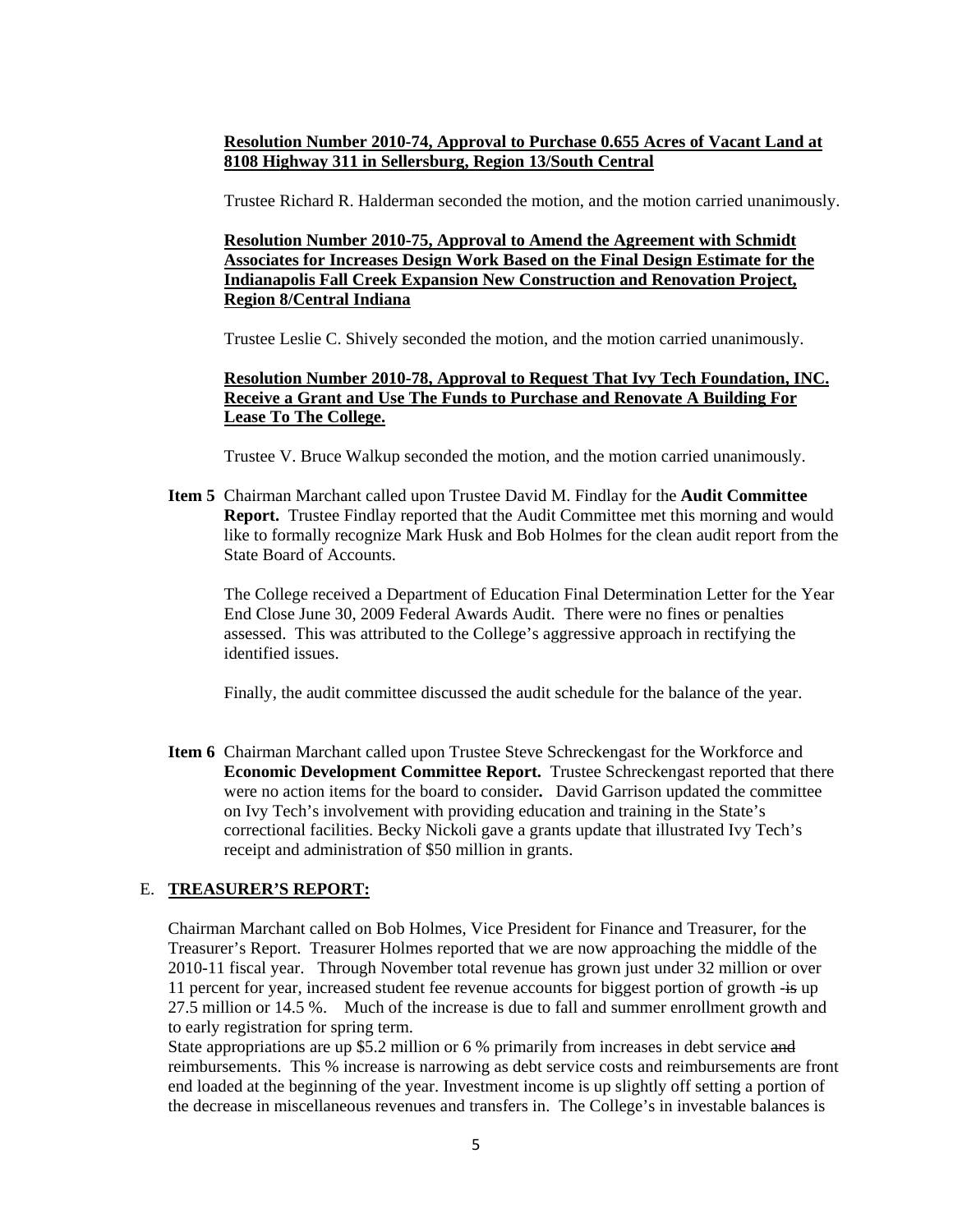## **Resolution Number 2010-74, Approval to Purchase 0.655 Acres of Vacant Land at 8108 Highway 311 in Sellersburg, Region 13/South Central**

Trustee Richard R. Halderman seconded the motion, and the motion carried unanimously.

**Resolution Number 2010-75, Approval to Amend the Agreement with Schmidt Associates for Increases Design Work Based on the Final Design Estimate for the Indianapolis Fall Creek Expansion New Construction and Renovation Project, Region 8/Central Indiana** 

Trustee Leslie C. Shively seconded the motion, and the motion carried unanimously.

## **Resolution Number 2010-78, Approval to Request That Ivy Tech Foundation, INC. Receive a Grant and Use The Funds to Purchase and Renovate A Building For Lease To The College.**

Trustee V. Bruce Walkup seconded the motion, and the motion carried unanimously.

**Item 5** Chairman Marchant called upon Trustee David M. Findlay for the **Audit Committee Report.** Trustee Findlay reported that the Audit Committee met this morning and would like to formally recognize Mark Husk and Bob Holmes for the clean audit report from the State Board of Accounts.

The College received a Department of Education Final Determination Letter for the Year End Close June 30, 2009 Federal Awards Audit. There were no fines or penalties assessed. This was attributed to the College's aggressive approach in rectifying the identified issues.

Finally, the audit committee discussed the audit schedule for the balance of the year.

**Item 6** Chairman Marchant called upon Trustee Steve Schreckengast for the Workforce and  **Economic Development Committee Report.** Trustee Schreckengast reported that there were no action items for the board to consider**.** David Garrison updated the committee on Ivy Tech's involvement with providing education and training in the State's correctional facilities. Becky Nickoli gave a grants update that illustrated Ivy Tech's receipt and administration of \$50 million in grants.

# E. **TREASURER'S REPORT:**

Chairman Marchant called on Bob Holmes, Vice President for Finance and Treasurer, for the Treasurer's Report. Treasurer Holmes reported that we are now approaching the middle of the 2010-11 fiscal year. Through November total revenue has grown just under 32 million or over 11 percent for year, increased student fee revenue accounts for biggest portion of growth -is up 27.5 million or 14.5 %. Much of the increase is due to fall and summer enrollment growth and to early registration for spring term.

State appropriations are up \$5.2 million or 6 % primarily from increases in debt service and reimbursements. This % increase is narrowing as debt service costs and reimbursements are front end loaded at the beginning of the year. Investment income is up slightly off setting a portion of the decrease in miscellaneous revenues and transfers in. The College's in investable balances is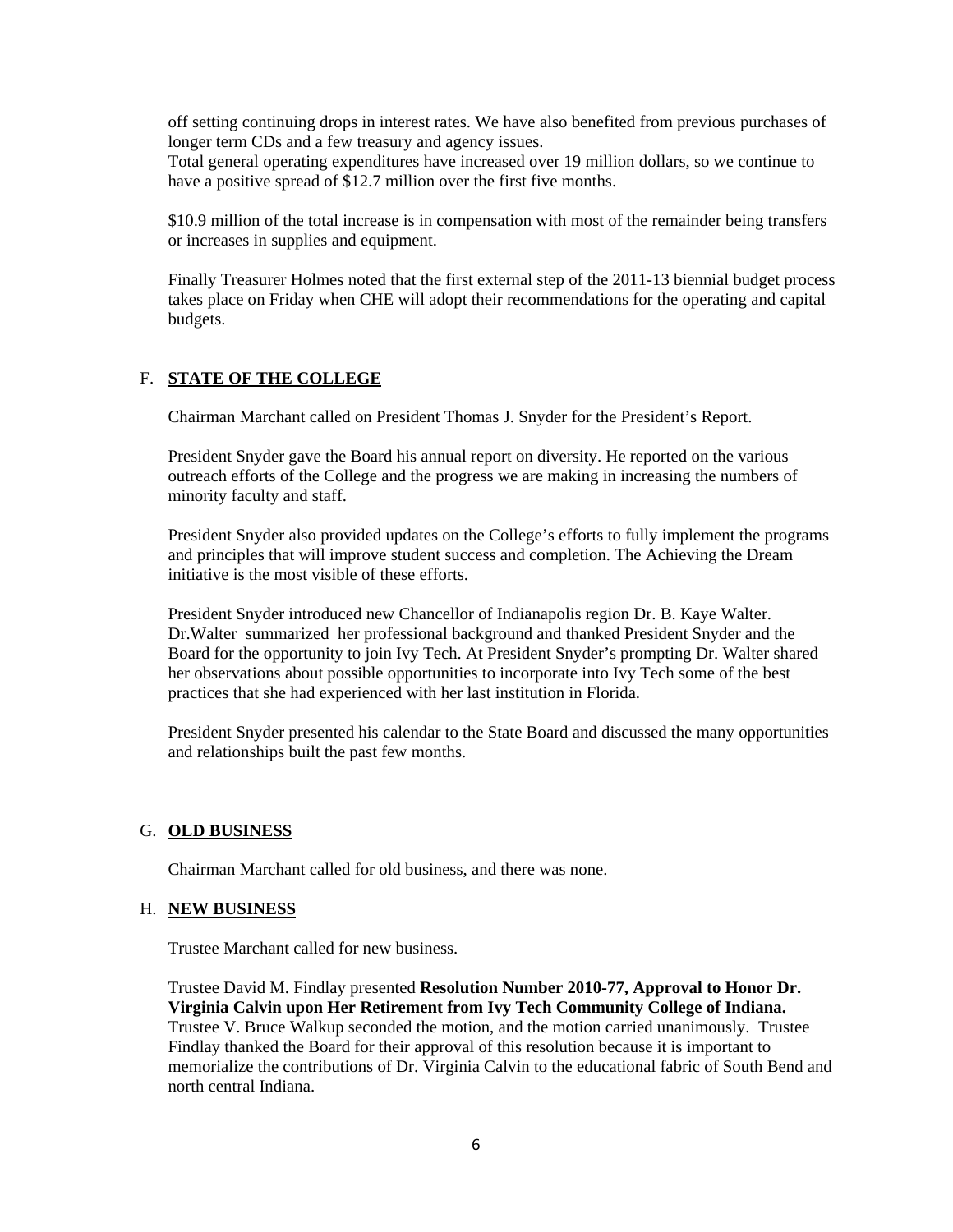off setting continuing drops in interest rates. We have also benefited from previous purchases of longer term CDs and a few treasury and agency issues.

Total general operating expenditures have increased over 19 million dollars, so we continue to have a positive spread of  $$12.7$  million over the first five months.

\$10.9 million of the total increase is in compensation with most of the remainder being transfers or increases in supplies and equipment.

Finally Treasurer Holmes noted that the first external step of the 2011-13 biennial budget process takes place on Friday when CHE will adopt their recommendations for the operating and capital budgets.

### F. **STATE OF THE COLLEGE**

Chairman Marchant called on President Thomas J. Snyder for the President's Report.

President Snyder gave the Board his annual report on diversity. He reported on the various outreach efforts of the College and the progress we are making in increasing the numbers of minority faculty and staff.

President Snyder also provided updates on the College's efforts to fully implement the programs and principles that will improve student success and completion. The Achieving the Dream initiative is the most visible of these efforts.

President Snyder introduced new Chancellor of Indianapolis region Dr. B. Kaye Walter. Dr.Walter summarized her professional background and thanked President Snyder and the Board for the opportunity to join Ivy Tech. At President Snyder's prompting Dr. Walter shared her observations about possible opportunities to incorporate into Ivy Tech some of the best practices that she had experienced with her last institution in Florida.

President Snyder presented his calendar to the State Board and discussed the many opportunities and relationships built the past few months.

#### G. **OLD BUSINESS**

Chairman Marchant called for old business, and there was none.

#### H. **NEW BUSINESS**

Trustee Marchant called for new business.

Trustee David M. Findlay presented **Resolution Number 2010-77, Approval to Honor Dr. Virginia Calvin upon Her Retirement from Ivy Tech Community College of Indiana.**  Trustee V. Bruce Walkup seconded the motion, and the motion carried unanimously. Trustee Findlay thanked the Board for their approval of this resolution because it is important to memorialize the contributions of Dr. Virginia Calvin to the educational fabric of South Bend and north central Indiana.